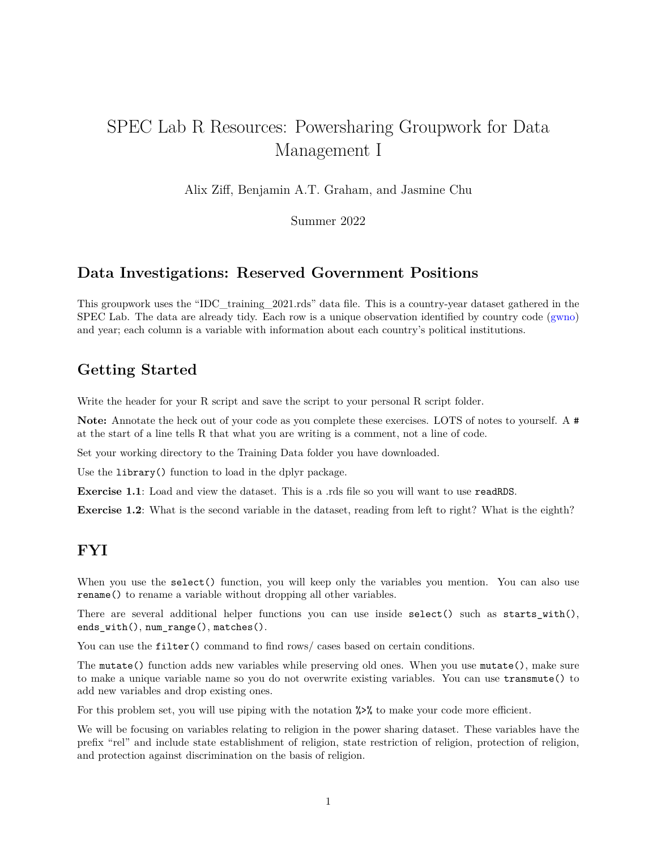# SPEC Lab R Resources: Powersharing Groupwork for Data Management I

Alix Ziff, Benjamin A.T. Graham, and Jasmine Chu

Summer 2022

#### **Data Investigations: Reserved Government Positions**

This groupwork uses the "IDC\_training\_2021.rds" data file. This is a country-year dataset gathered in the SPEC Lab. The data are already tidy. Each row is a unique observation identified by country code [\(gwno\)](http://ksgleditsch.com/data-4.html) and year; each column is a variable with information about each country's political institutions.

### **Getting Started**

Write the header for your R script and save the script to your personal R script folder.

Note: Annotate the heck out of your code as you complete these exercises. LOTS of notes to yourself. A # at the start of a line tells R that what you are writing is a comment, not a line of code.

Set your working directory to the Training Data folder you have downloaded.

Use the library() function to load in the dplyr package.

**Exercise 1.1**: Load and view the dataset. This is a rds file so you will want to use readRDS.

**Exercise 1.2**: What is the second variable in the dataset, reading from left to right? What is the eighth?

## **FYI**

When you use the select () function, you will keep only the variables you mention. You can also use rename() to rename a variable without dropping all other variables.

There are several additional helper functions you can use inside  $select()$  such as starts\_with $(),$ ends\_with(), num\_range(), matches().

You can use the filter() command to find rows/ cases based on certain conditions.

The mutate() function adds new variables while preserving old ones. When you use mutate(), make sure to make a unique variable name so you do not overwrite existing variables. You can use transmute() to add new variables and drop existing ones.

For this problem set, you will use piping with the notation  $\frac{1}{2}\%$  to make your code more efficient.

We will be focusing on variables relating to religion in the power sharing dataset. These variables have the prefix "rel" and include state establishment of religion, state restriction of religion, protection of religion, and protection against discrimination on the basis of religion.